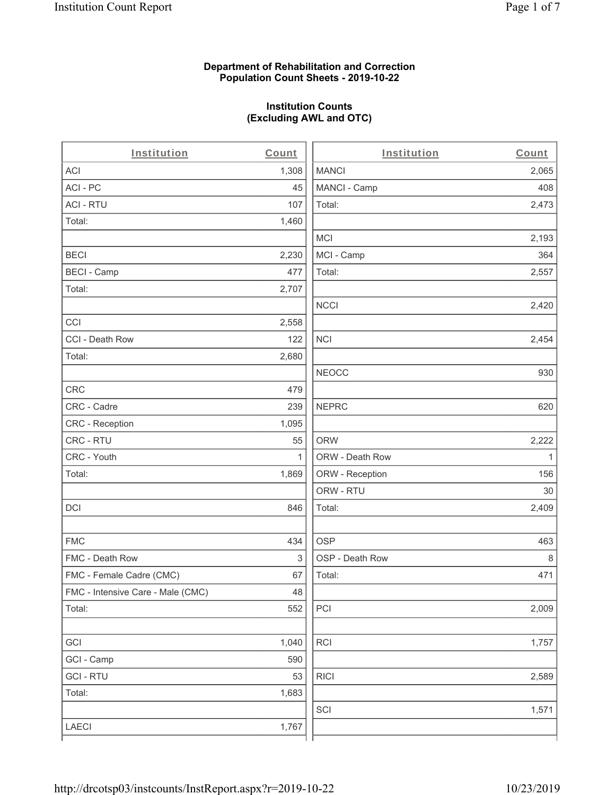### **Department of Rehabilitation and Correction Population Count Sheets - 2019-10-22**

## **Institution Counts (Excluding AWL and OTC)**

 $\overline{a}$ 

| Institution                       | Count | Institution     | Count        |
|-----------------------------------|-------|-----------------|--------------|
| ACI                               | 1,308 | <b>MANCI</b>    | 2,065        |
| ACI-PC                            | 45    | MANCI - Camp    | 408          |
| <b>ACI - RTU</b>                  | 107   | Total:          | 2,473        |
| Total:                            | 1,460 |                 |              |
|                                   |       | MCI             | 2,193        |
| <b>BECI</b>                       | 2,230 | MCI - Camp      | 364          |
| <b>BECI - Camp</b>                | 477   | Total:          | 2,557        |
| Total:                            | 2,707 |                 |              |
|                                   |       | <b>NCCI</b>     | 2,420        |
| CCI                               | 2,558 |                 |              |
| CCI - Death Row                   | 122   | <b>NCI</b>      | 2,454        |
| Total:                            | 2,680 |                 |              |
|                                   |       | <b>NEOCC</b>    | 930          |
| <b>CRC</b>                        | 479   |                 |              |
| CRC - Cadre                       | 239   | <b>NEPRC</b>    | 620          |
| CRC - Reception                   | 1,095 |                 |              |
| CRC - RTU                         | 55    | <b>ORW</b>      | 2,222        |
| CRC - Youth                       | 1     | ORW - Death Row | $\mathbf{1}$ |
| Total:                            | 1,869 | ORW - Reception | 156          |
|                                   |       | ORW - RTU       | 30           |
| DCI                               | 846   | Total:          | 2,409        |
| <b>FMC</b>                        | 434   | <b>OSP</b>      | 463          |
| FMC - Death Row                   | 3     | OSP - Death Row | 8            |
| FMC - Female Cadre (CMC)          | 67    | Total:          | 471          |
| FMC - Intensive Care - Male (CMC) | 48    |                 |              |
| Total:                            | 552   | PCI             | 2,009        |
| GCI                               | 1,040 | RCI             | 1,757        |
| GCI - Camp                        | 590   |                 |              |
| <b>GCI-RTU</b>                    | 53    | <b>RICI</b>     | 2,589        |
| Total:                            | 1,683 |                 |              |
|                                   |       | SCI             | 1,571        |
| LAECI                             | 1,767 |                 |              |
|                                   |       |                 |              |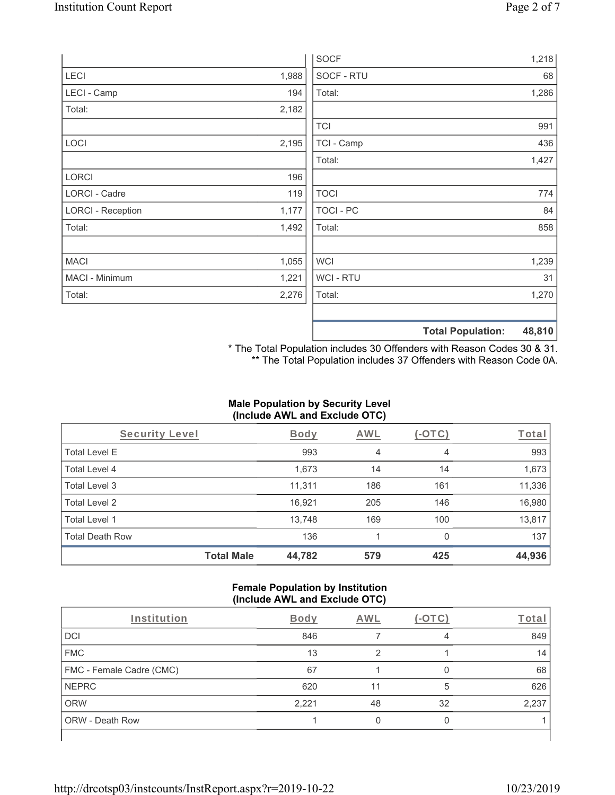|                          |       | <b>SOCF</b>    | 1,218                              |
|--------------------------|-------|----------------|------------------------------------|
| LECI                     | 1,988 | SOCF - RTU     | 68                                 |
| LECI - Camp              | 194   | Total:         | 1,286                              |
| Total:                   | 2,182 |                |                                    |
|                          |       | <b>TCI</b>     | 991                                |
| LOCI                     | 2,195 | TCI - Camp     | 436                                |
|                          |       | Total:         | 1,427                              |
| LORCI                    | 196   |                |                                    |
| LORCI - Cadre            | 119   | <b>TOCI</b>    | 774                                |
| <b>LORCI - Reception</b> | 1,177 | TOCI - PC      | 84                                 |
| Total:                   | 1,492 | Total:         | 858                                |
| <b>MACI</b>              | 1,055 | <b>WCI</b>     | 1,239                              |
| MACI - Minimum           | 1,221 | <b>WCI-RTU</b> | 31                                 |
| Total:                   | 2,276 | Total:         | 1,270                              |
|                          |       |                | <b>Total Population:</b><br>48,810 |

\* The Total Population includes 30 Offenders with Reason Codes 30 & 31. \*\* The Total Population includes 37 Offenders with Reason Code 0A.

### **Male Population by Security Level (Include AWL and Exclude OTC)**

| Security Level         |                   | <b>Body</b> | AWL | (-OTC)         | Total  |
|------------------------|-------------------|-------------|-----|----------------|--------|
| <b>Total Level E</b>   |                   | 993         | 4   | $\overline{4}$ | 993    |
| Total Level 4          |                   | 1,673       | 14  | 14             | 1,673  |
| Total Level 3          |                   | 11,311      | 186 | 161            | 11,336 |
| Total Level 2          |                   | 16,921      | 205 | 146            | 16,980 |
| Total Level 1          |                   | 13,748      | 169 | 100            | 13,817 |
| <b>Total Death Row</b> |                   | 136         |     | 0              | 137    |
|                        | <b>Total Male</b> | 44,782      | 579 | 425            | 44,936 |

### **Female Population by Institution (Include AWL and Exclude OTC)**

| Institution              | <b>Body</b> | <b>AWL</b> | - 1 | Total |
|--------------------------|-------------|------------|-----|-------|
| <b>DCI</b>               | 846         |            | 4   | 849   |
| <b>FMC</b>               | 13          |            |     | 14    |
| FMC - Female Cadre (CMC) | 67          |            |     | 68    |
| <b>NEPRC</b>             | 620         | 11         | 5   | 626   |
| <b>ORW</b>               | 2,221       | 48         | 32  | 2,237 |
| <b>ORW - Death Row</b>   |             |            |     |       |
|                          |             |            |     |       |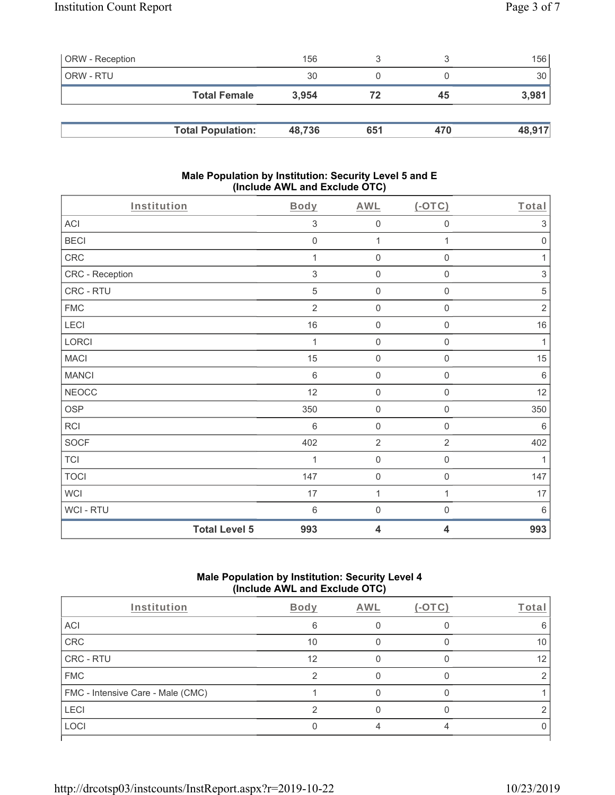| <b>ORW</b> - Reception |                          | 156    |     |     | 156    |
|------------------------|--------------------------|--------|-----|-----|--------|
| <b>ORW - RTU</b>       |                          | 30     |     |     | 30     |
|                        | <b>Total Female</b>      | 3.954  | 72  | 45  | 3,981  |
|                        |                          |        |     |     |        |
|                        | <b>Total Population:</b> | 48,736 | 651 | 470 | 48,917 |

#### **Male Population by Institution: Security Level 5 and E (Include AWL and Exclude OTC)**

| Institution          | <b>Body</b>               | <b>AWL</b>              | $($ -OTC $)$        | Total                     |
|----------------------|---------------------------|-------------------------|---------------------|---------------------------|
| ACI                  | $\sqrt{3}$                | $\mathbf 0$             | $\boldsymbol{0}$    | $\ensuremath{\mathsf{3}}$ |
| <b>BECI</b>          | $\mathbf 0$               | $\mathbf{1}$            | 1                   | $\mathbf 0$               |
| CRC                  | 1                         | $\mathbf 0$             | $\mathsf 0$         | 1                         |
| CRC - Reception      | $\ensuremath{\mathsf{3}}$ | $\mathbf 0$             | $\boldsymbol{0}$    | $\ensuremath{\mathsf{3}}$ |
| CRC - RTU            | 5                         | $\mathbf 0$             | $\boldsymbol{0}$    | $\mathbf 5$               |
| <b>FMC</b>           | $\overline{2}$            | $\mathbf 0$             | $\mathsf{O}\xspace$ | $\sqrt{2}$                |
| LECI                 | $16$                      | $\mathbf 0$             | $\mathsf{O}\xspace$ | $16\,$                    |
| LORCI                | 1                         | $\mathbf 0$             | $\mathsf{O}\xspace$ | $\mathbf{1}$              |
| <b>MACI</b>          | 15                        | $\mathbf 0$             | $\mathsf{O}\xspace$ | 15                        |
| <b>MANCI</b>         | $\,6\,$                   | $\mathbf 0$             | $\mathsf 0$         | $\,6\,$                   |
| <b>NEOCC</b>         | 12                        | $\mathbf 0$             | $\boldsymbol{0}$    | 12                        |
| <b>OSP</b>           | 350                       | $\mathbf 0$             | $\mathsf{O}\xspace$ | 350                       |
| RCI                  | 6                         | $\mathbf 0$             | $\boldsymbol{0}$    | 6                         |
| <b>SOCF</b>          | 402                       | $\overline{2}$          | $\overline{2}$      | 402                       |
| <b>TCI</b>           | 1                         | $\mathbf 0$             | $\mathsf{O}\xspace$ | $\mathbf{1}$              |
| <b>TOCI</b>          | 147                       | $\mathbf 0$             | $\mathsf 0$         | 147                       |
| WCI                  | 17                        | $\mathbf{1}$            | 1                   | 17                        |
| WCI - RTU            | 6                         | $\mathbf 0$             | $\boldsymbol{0}$    | $\,6\,$                   |
| <b>Total Level 5</b> | 993                       | $\overline{\mathbf{4}}$ | 4                   | 993                       |

# **Male Population by Institution: Security Level 4 (Include AWL and Exclude OTC)**

| Institution                       | Body | <b>AWL</b> | $(-OTC)$ | Total |
|-----------------------------------|------|------------|----------|-------|
| ACI                               | 6    |            |          |       |
| CRC                               | 10   |            |          | 10    |
| CRC - RTU                         | 12   |            |          | 12    |
| <b>FMC</b>                        |      |            |          |       |
| FMC - Intensive Care - Male (CMC) |      |            |          |       |
| LECI                              |      |            |          |       |
| LOCI                              |      |            |          |       |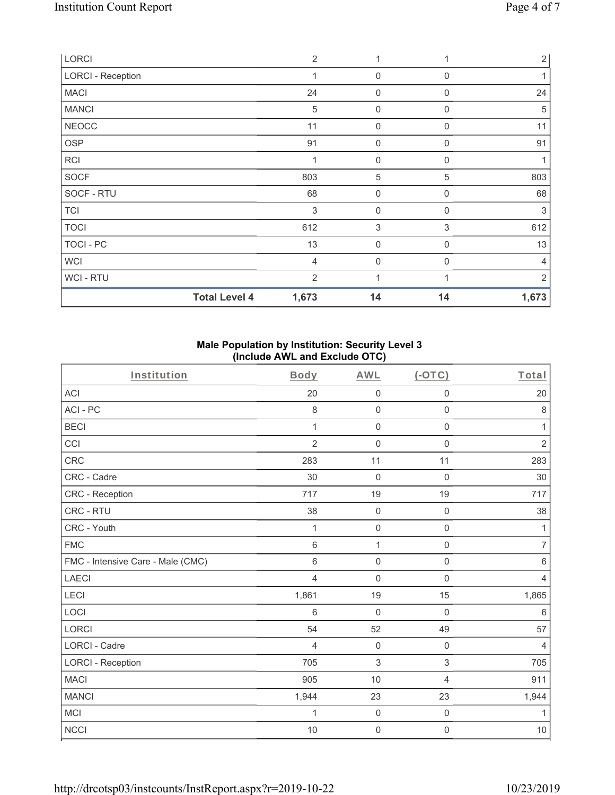| LORCI                    |                      | $\overline{2}$ | 1                |              | $\overline{2}$ |
|--------------------------|----------------------|----------------|------------------|--------------|----------------|
| <b>LORCI - Reception</b> |                      | $\mathbf 1$    | $\mathbf 0$      | $\Omega$     |                |
| <b>MACI</b>              |                      | 24             | 0                | $\Omega$     | 24             |
| <b>MANCI</b>             |                      | 5              | $\mathbf 0$      | $\Omega$     | 5              |
| <b>NEOCC</b>             |                      | 11             | 0                | 0            | 11             |
| OSP                      |                      | 91             | $\mathbf 0$      | $\mathbf 0$  | 91             |
| <b>RCI</b>               |                      |                | $\mathbf 0$      | $\mathbf{0}$ |                |
| <b>SOCF</b>              |                      | 803            | $\sqrt{5}$       | 5            | 803            |
| SOCF - RTU               |                      | 68             | $\boldsymbol{0}$ | 0            | 68             |
| <b>TCI</b>               |                      | 3              | $\mathbf 0$      | 0            | 3              |
| <b>TOCI</b>              |                      | 612            | $\mathfrak{S}$   | 3            | 612            |
| TOCI - PC                |                      | 13             | $\mathbf 0$      | $\Omega$     | 13             |
| <b>WCI</b>               |                      | $\overline{4}$ | 0                | $\Omega$     | $\overline{4}$ |
| WCI - RTU                |                      | $\overline{2}$ | 1                |              | 2              |
|                          | <b>Total Level 4</b> | 1,673          | 14               | 14           | 1,673          |

### **Male Population by Institution: Security Level 3 (Include AWL and Exclude OTC)**

| Institution                       | <b>Body</b>    | <b>AWL</b>          | (OTC)               | Total          |
|-----------------------------------|----------------|---------------------|---------------------|----------------|
| ACI                               | 20             | $\mathsf{O}\xspace$ | $\mathsf{O}\xspace$ | 20             |
| ACI-PC                            | 8              | $\mathbf 0$         | 0                   | $\,8\,$        |
| <b>BECI</b>                       | 1              | $\mathbf 0$         | $\mathsf 0$         | $\mathbf{1}$   |
| CCI                               | $\overline{2}$ | $\mathbf 0$         | $\mathsf 0$         | $\overline{2}$ |
| <b>CRC</b>                        | 283            | 11                  | 11                  | 283            |
| CRC - Cadre                       | 30             | $\mathbf 0$         | $\mathbf 0$         | 30             |
| <b>CRC</b> - Reception            | 717            | 19                  | 19                  | 717            |
| CRC - RTU                         | 38             | $\mathbf 0$         | $\mathsf{O}\xspace$ | 38             |
| CRC - Youth                       | 1              | $\mathsf{O}\xspace$ | $\mathbf 0$         | 1              |
| <b>FMC</b>                        | 6              | $\mathbf{1}$        | $\mathsf 0$         | $\overline{7}$ |
| FMC - Intensive Care - Male (CMC) | $\,6$          | $\mathbf 0$         | $\mathsf 0$         | $\,6\,$        |
| <b>LAECI</b>                      | $\overline{4}$ | 0                   | $\mathsf 0$         | $\overline{4}$ |
| LECI                              | 1,861          | 19                  | 15                  | 1,865          |
| LOCI                              | $6\,$          | $\mathbf 0$         | $\mathbf 0$         | 6              |
| <b>LORCI</b>                      | 54             | 52                  | 49                  | 57             |
| <b>LORCI - Cadre</b>              | 4              | $\mathbf 0$         | $\mathbf 0$         | $\overline{4}$ |
| <b>LORCI - Reception</b>          | 705            | 3                   | 3                   | 705            |
| <b>MACI</b>                       | 905            | 10                  | 4                   | 911            |
| <b>MANCI</b>                      | 1,944          | 23                  | 23                  | 1,944          |
| <b>MCI</b>                        | 1              | $\mathbf 0$         | $\mathsf{O}\xspace$ | $\mathbf{1}$   |
| <b>NCCI</b>                       | 10             | $\mathsf{O}\xspace$ | 0                   | $10$           |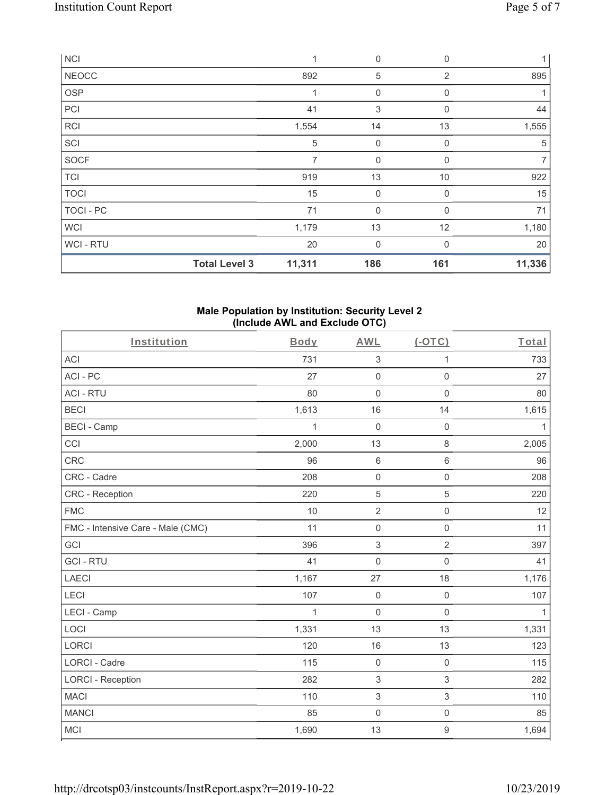| <b>NCI</b>   |                      | 1      | $\mathbf 0$  | 0            | 1              |
|--------------|----------------------|--------|--------------|--------------|----------------|
| <b>NEOCC</b> |                      | 892    | 5            | 2            | 895            |
| <b>OSP</b>   |                      | 1      | 0            | $\Omega$     |                |
| PCI          |                      | 41     | 3            | $\mathbf 0$  | 44             |
| <b>RCI</b>   |                      | 1,554  | 14           | 13           | 1,555          |
| SCI          |                      | 5      | $\mathbf 0$  | $\mathbf 0$  | 5              |
| <b>SOCF</b>  |                      | 7      | $\mathbf 0$  | 0            | $\overline{7}$ |
| <b>TCI</b>   |                      | 919    | 13           | 10           | 922            |
| <b>TOCI</b>  |                      | 15     | 0            | 0            | 15             |
| TOCI - PC    |                      | 71     | $\mathbf{0}$ | $\mathbf{0}$ | 71             |
| <b>WCI</b>   |                      | 1,179  | 13           | 12           | 1,180          |
| WCI-RTU      |                      | 20     | $\mathbf 0$  | $\Omega$     | 20             |
|              | <b>Total Level 3</b> | 11,311 | 186          | 161          | 11,336         |

#### **Male Population by Institution: Security Level 2 (Include AWL and Exclude OTC)**

| Institution                       | <b>Body</b> | <b>AWL</b>                | (OTC)               | Total        |
|-----------------------------------|-------------|---------------------------|---------------------|--------------|
| <b>ACI</b>                        | 731         | $\ensuremath{\mathsf{3}}$ | 1                   | 733          |
| ACI-PC                            | 27          | $\mathsf 0$               | $\mathsf{O}\xspace$ | 27           |
| <b>ACI - RTU</b>                  | 80          | $\mathbf 0$               | $\mathbf 0$         | 80           |
| <b>BECI</b>                       | 1,613       | 16                        | 14                  | 1,615        |
| <b>BECI - Camp</b>                | 1           | $\mathbf 0$               | $\mathsf 0$         | $\mathbf{1}$ |
| CCI                               | 2,000       | 13                        | 8                   | 2,005        |
| CRC                               | 96          | $\,6\,$                   | $\,6\,$             | 96           |
| CRC - Cadre                       | 208         | $\mathsf{O}\xspace$       | $\mathsf{O}\xspace$ | 208          |
| CRC - Reception                   | 220         | $\sqrt{5}$                | 5                   | 220          |
| <b>FMC</b>                        | 10          | $\sqrt{2}$                | $\mathsf{O}\xspace$ | 12           |
| FMC - Intensive Care - Male (CMC) | 11          | $\mathsf 0$               | $\mathsf{O}\xspace$ | 11           |
| GCI                               | 396         | $\ensuremath{\mathsf{3}}$ | $\overline{2}$      | 397          |
| <b>GCI-RTU</b>                    | 41          | $\mathsf 0$               | $\mathbf 0$         | 41           |
| <b>LAECI</b>                      | 1,167       | 27                        | 18                  | 1,176        |
| LECI                              | 107         | $\mathbf 0$               | $\mathbf 0$         | 107          |
| <b>LECI - Camp</b>                | 1           | $\mathbf 0$               | $\mathbf 0$         | $\mathbf{1}$ |
| LOCI                              | 1,331       | 13                        | 13                  | 1,331        |
| <b>LORCI</b>                      | 120         | 16                        | 13                  | 123          |
| <b>LORCI - Cadre</b>              | 115         | $\mathbf 0$               | $\mathsf 0$         | 115          |
| <b>LORCI - Reception</b>          | 282         | $\sqrt{3}$                | 3                   | 282          |
| <b>MACI</b>                       | 110         | $\ensuremath{\mathsf{3}}$ | $\,$ 3 $\,$         | 110          |
| <b>MANCI</b>                      | 85          | $\mathsf{O}\xspace$       | $\mathsf{O}\xspace$ | 85           |
| <b>MCI</b>                        | 1,690       | 13                        | $\mathsf g$         | 1,694        |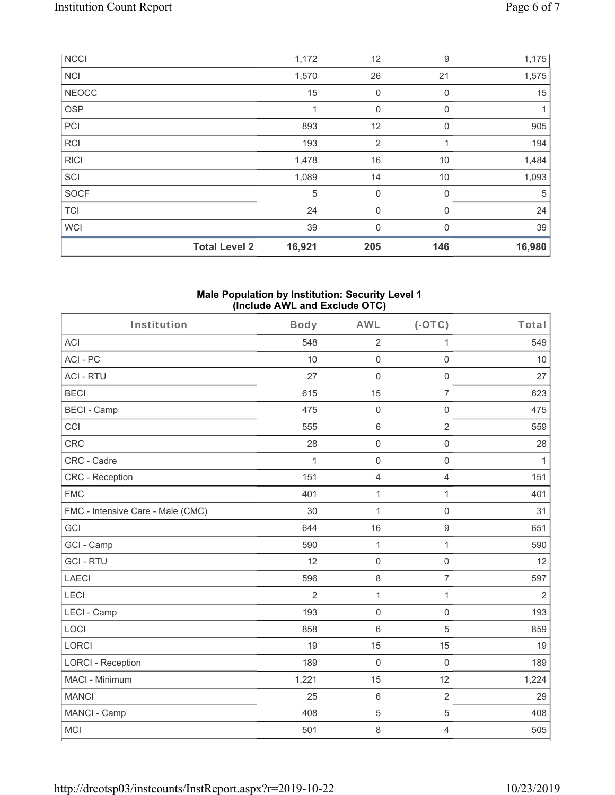|             | <b>Total Level 2</b> | 16,921 | 205          | 146          | 16,980 |
|-------------|----------------------|--------|--------------|--------------|--------|
| <b>WCI</b>  |                      | 39     | $\mathbf{0}$ | $\Omega$     | 39     |
| TCI         |                      | 24     | $\mathbf 0$  | 0            | 24     |
| SOCF        |                      | 5      | $\mathbf 0$  | 0            | 5      |
| SCI         |                      | 1,089  | 14           | 10           | 1,093  |
| <b>RICI</b> |                      | 1,478  | 16           | 10           | 1,484  |
| <b>RCI</b>  |                      | 193    | 2            |              | 194    |
| PCI         |                      | 893    | 12           | $\Omega$     | 905    |
| <b>OSP</b>  |                      |        | $\mathbf 0$  | $\mathbf{0}$ | 1      |
| NEOCC       |                      | 15     | $\mathbf 0$  | 0            | 15     |
| <b>NCI</b>  |                      | 1,570  | 26           | 21           | 1,575  |
| <b>NCCI</b> |                      | 1,172  | 12           | 9            | 1,175  |

#### **Male Population by Institution: Security Level 1 (Include AWL and Exclude OTC)**

| Institution                       | Body           | <b>AWL</b>          | $(-OTC)$            | Total          |
|-----------------------------------|----------------|---------------------|---------------------|----------------|
| <b>ACI</b>                        | 548            | $\sqrt{2}$          | 1                   | 549            |
| ACI-PC                            | 10             | $\mathbf 0$         | $\mathsf 0$         | 10             |
| <b>ACI - RTU</b>                  | 27             | $\mathbf 0$         | $\mathbf 0$         | 27             |
| <b>BECI</b>                       | 615            | 15                  | $\overline{7}$      | 623            |
| <b>BECI - Camp</b>                | 475            | $\boldsymbol{0}$    | $\mathsf 0$         | 475            |
| CCI                               | 555            | $\,$ 6 $\,$         | $\overline{2}$      | 559            |
| <b>CRC</b>                        | 28             | $\mathsf{O}\xspace$ | $\mathbf 0$         | 28             |
| CRC - Cadre                       | $\mathbf{1}$   | $\mathbf 0$         | $\mathbf 0$         | $\mathbf{1}$   |
| CRC - Reception                   | 151            | $\overline{4}$      | $\overline{4}$      | 151            |
| <b>FMC</b>                        | 401            | $\mathbf 1$         | $\mathbf{1}$        | 401            |
| FMC - Intensive Care - Male (CMC) | 30             | $\mathbf{1}$        | $\mathsf{O}\xspace$ | 31             |
| GCI                               | 644            | 16                  | $\boldsymbol{9}$    | 651            |
| GCI - Camp                        | 590            | $\mathbf{1}$        | $\mathbf{1}$        | 590            |
| <b>GCI-RTU</b>                    | 12             | $\mathbf 0$         | $\mathsf{O}\xspace$ | 12             |
| <b>LAECI</b>                      | 596            | $\,8\,$             | $\overline{7}$      | 597            |
| LECI                              | $\overline{2}$ | $\mathbf{1}$        | $\mathbf{1}$        | $\overline{2}$ |
| LECI - Camp                       | 193            | $\mathbf 0$         | $\mathsf{O}\xspace$ | 193            |
| LOCI                              | 858            | $\,6\,$             | 5                   | 859            |
| <b>LORCI</b>                      | 19             | 15                  | 15                  | 19             |
| <b>LORCI - Reception</b>          | 189            | $\mathbf 0$         | $\mathbf 0$         | 189            |
| MACI - Minimum                    | 1,221          | 15                  | 12                  | 1,224          |
| <b>MANCI</b>                      | 25             | $\,6\,$             | $\overline{2}$      | 29             |
| MANCI - Camp                      | 408            | 5                   | 5                   | 408            |
| <b>MCI</b>                        | 501            | 8                   | 4                   | 505            |